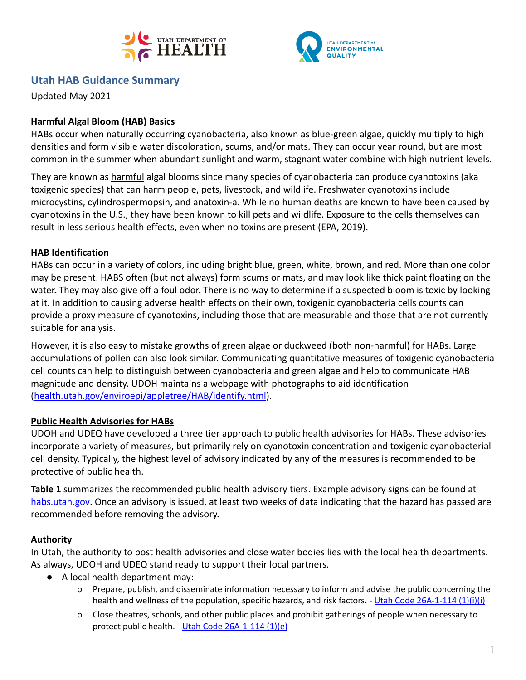



# **Utah HAB Guidance Summary**

Updated May 2021

## **Harmful Algal Bloom (HAB) Basics**

HABs occur when naturally occurring cyanobacteria, also known as blue-green algae, quickly multiply to high densities and form visible water discoloration, scums, and/or mats. They can occur year round, but are most common in the summer when abundant sunlight and warm, stagnant water combine with high nutrient levels.

They are known as harmful algal blooms since many species of cyanobacteria can produce cyanotoxins (aka toxigenic species) that can harm people, pets, livestock, and wildlife. Freshwater cyanotoxins include microcystins, cylindrospermopsin, and anatoxin-a. While no human deaths are known to have been caused by cyanotoxins in the U.S., they have been known to kill pets and wildlife. Exposure to the cells themselves can result in less serious health effects, even when no toxins are present (EPA, 2019).

## **HAB Identification**

HABs can occur in a variety of colors, including bright blue, green, white, brown, and red. More than one color may be present. HABS often (but not always) form scums or mats, and may look like thick paint floating on the water. They may also give off a foul odor. There is no way to determine if a suspected bloom is toxic by looking at it. In addition to causing adverse health effects on their own, toxigenic cyanobacteria cells counts can provide a proxy measure of cyanotoxins, including those that are measurable and those that are not currently suitable for analysis.

However, it is also easy to mistake growths of green algae or duckweed (both non-harmful) for HABs. Large accumulations of pollen can also look similar. Communicating quantitative measures of toxigenic cyanobacteria cell counts can help to distinguish between cyanobacteria and green algae and help to communicate HAB magnitude and density. UDOH maintains a webpage with photographs to aid identification ([health.utah.gov/enviroepi/appletree/HAB/identify.html](http://health.utah.gov/enviroepi/appletree/HAB/identify.html)).

### **Public Health Advisories for HABs**

UDOH and UDEQ have developed a three tier approach to public health advisories for HABs. These advisories incorporate a variety of measures, but primarily rely on cyanotoxin concentration and toxigenic cyanobacterial cell density. Typically, the highest level of advisory indicated by any of the measures is recommended to be protective of public health.

**Table 1** summarizes the recommended public health advisory tiers. Example advisory signs can be found at [habs.utah.gov.](http://habs.utah.gov/) Once an advisory is issued, at least two weeks of data indicating that the hazard has passed are recommended before removing the advisory.

### **Authority**

In Utah, the authority to post health advisories and close water bodies lies with the local health departments. As always, UDOH and UDEQ stand ready to support their local partners.

- A local health department may:
	- o Prepare, publish, and disseminate information necessary to inform and advise the public concerning the health and wellness of the population, specific hazards, and risk factors. - Utah Code [26A-1-114](https://le.utah.gov/xcode/Title26A/Chapter1/26A-1-S114.html) (1)(i)(i)
	- o Close theatres, schools, and other public places and prohibit gatherings of people when necessary to protect public health. - Utah Code [26A-1-114](https://le.utah.gov/xcode/Title26A/Chapter1/26A-1-S114.html) (1)(e)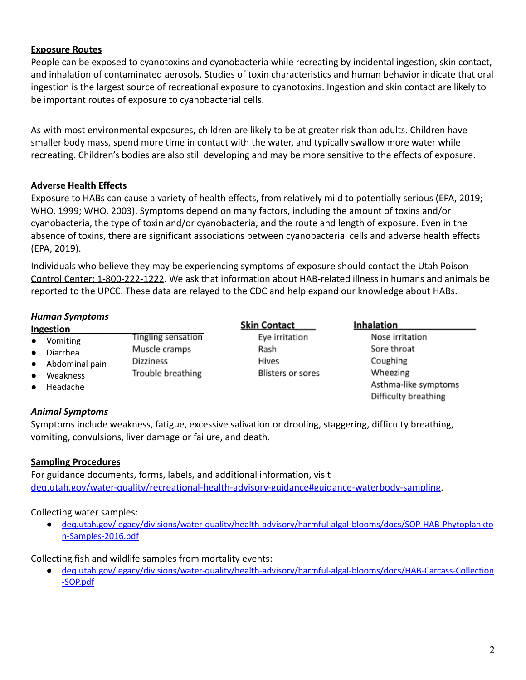### **Exposure Routes**

People can be exposed to cyanotoxins and cyanobacteria while recreating by incidental ingestion, skin contact, and inhalation of contaminated aerosols. Studies of toxin characteristics and human behavior indicate that oral ingestion is the largest source of recreational exposure to cyanotoxins. Ingestion and skin contact are likely to be important routes of exposure to cyanobacterial cells.

As with most environmental exposures, children are likely to be at greater risk than adults. Children have smaller body mass, spend more time in contact with the water, and typically swallow more water while recreating. Children's bodies are also still developing and may be more sensitive to the effects of exposure.

### **Adverse Health Effects**

Exposure to HABs can cause a variety of health effects, from relatively mild to potentially serious (EPA, 2019; WHO, 1999; WHO, 2003). Symptoms depend on many factors, including the amount of toxins and/or cyanobacteria, the type of toxin and/or cyanobacteria, and the route and length of exposure. Even in the absence of toxins, there are significant associations between cyanobacterial cells and adverse health effects (EPA, 2019).

Individuals who believe they may be experiencing symptoms of exposure should contact the Utah Poison Control Center: 1-800-222-1222. We ask that information about HAB-related illness in humans and animals be reported to the UPCC. These data are relayed to the CDC and help expand our knowledge about HABs.

### *Human Symptoms*

|                                                                                                                                              |                                                                              | <b>Skin Contact</b>                                         | <b>Inhalation</b>                                                              |
|----------------------------------------------------------------------------------------------------------------------------------------------|------------------------------------------------------------------------------|-------------------------------------------------------------|--------------------------------------------------------------------------------|
| Ingestion<br>Vomiting<br>$\bullet$<br>Diarrhea<br>$\bullet$<br>Abdominal pain<br>$\bullet$<br>Weakness<br>$\bullet$<br>Headache<br>$\bullet$ | <b>Tingling sensation</b><br>Muscle cramps<br>Dizziness<br>Trouble breathing | Eye irritation<br>Rash<br>Hives<br><b>Blisters or sores</b> | Nose irritation<br>Sore throat<br>Coughing<br>Wheezing<br>Asthma-like symptoms |
|                                                                                                                                              |                                                                              |                                                             | Difficulty breathing                                                           |

### *Animal Symptoms*

Symptoms include weakness, fatigue, excessive salivation or drooling, staggering, difficulty breathing, vomiting, convulsions, liver damage or failure, and death.

### **Sampling Procedures**

For guidance documents, forms, labels, and additional information, visit [deq.utah.gov/water-quality/recreational-health-advisory-guidance#guidance-waterbody-sampling](https://deq.utah.gov/water-quality/recreational-health-advisory-guidance#guidance-waterbody-sampling).

Collecting water samples:

● [deq.utah.gov/legacy/divisions/water-quality/health-advisory/harmful-algal-blooms/docs/SOP-HAB-Phytoplankto](https://deq.utah.gov/legacy/divisions/water-quality/health-advisory/harmful-algal-blooms/docs/SOP-HAB-Phytoplankton-Samples-2016.pdf) [n-Samples-2016.pdf](https://deq.utah.gov/legacy/divisions/water-quality/health-advisory/harmful-algal-blooms/docs/SOP-HAB-Phytoplankton-Samples-2016.pdf)

Collecting fish and wildlife samples from mortality events:

● [deq.utah.gov/legacy/divisions/water-quality/health-advisory/harmful-algal-blooms/docs/HAB-Carcass-Collection](https://deq.utah.gov/legacy/divisions/water-quality/health-advisory/harmful-algal-blooms/docs/HAB-Carcass-Collection-SOP.pdf) [-SOP.pdf](https://deq.utah.gov/legacy/divisions/water-quality/health-advisory/harmful-algal-blooms/docs/HAB-Carcass-Collection-SOP.pdf)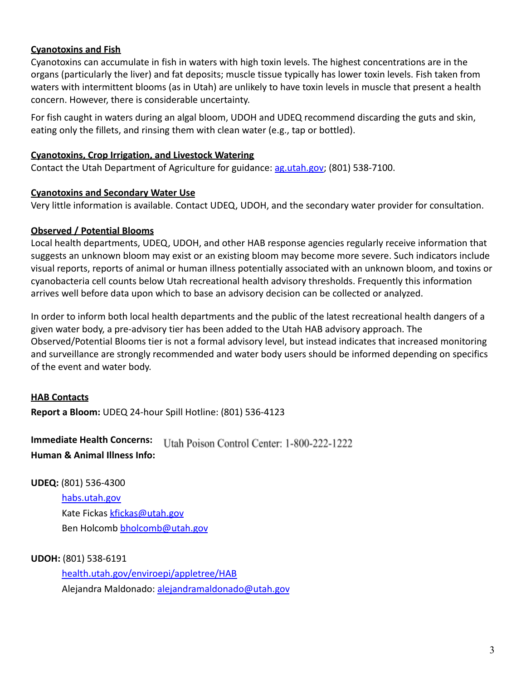### **Cyanotoxins and Fish**

Cyanotoxins can accumulate in fish in waters with high toxin levels. The highest concentrations are in the organs (particularly the liver) and fat deposits; muscle tissue typically has lower toxin levels. Fish taken from waters with intermittent blooms (as in Utah) are unlikely to have toxin levels in muscle that present a health concern. However, there is considerable uncertainty.

For fish caught in waters during an algal bloom, UDOH and UDEQ recommend discarding the guts and skin, eating only the fillets, and rinsing them with clean water (e.g., tap or bottled).

### **Cyanotoxins, Crop Irrigation, and Livestock Watering**

Contact the Utah Department of Agriculture for guidance: [ag.utah.gov;](http://ag.utah.gov/) (801) 538-7100.

#### **Cyanotoxins and Secondary Water Use**

Very little information is available. Contact UDEQ, UDOH, and the secondary water provider for consultation.

### **Observed / Potential Blooms**

Local health departments, UDEQ, UDOH, and other HAB response agencies regularly receive information that suggests an unknown bloom may exist or an existing bloom may become more severe. Such indicators include visual reports, reports of animal or human illness potentially associated with an unknown bloom, and toxins or cyanobacteria cell counts below Utah recreational health advisory thresholds. Frequently this information arrives well before data upon which to base an advisory decision can be collected or analyzed.

In order to inform both local health departments and the public of the latest recreational health dangers of a given water body, a pre-advisory tier has been added to the Utah HAB advisory approach. The Observed/Potential Blooms tier is not a formal advisory level, but instead indicates that increased monitoring and surveillance are strongly recommended and water body users should be informed depending on specifics of the event and water body.

### **HAB Contacts**

**Report a Bloom:** UDEQ 24-hour Spill Hotline: (801) 536-4123

**Immediate Health Concerns:** Utah Poison Control Center: 1-800-222-1222 **Human & Animal Illness Info:**

#### **UDEQ:** (801) 536-4300

habs.utah.gov Kate Fickas [kfickas@utah.gov](mailto:kfickas@utah.gov) Ben Holcomb [bholcomb@utah.gov](mailto:bholcomb@utah.gov)

### **UDOH:** (801) 538-6191

[health.utah.gov/enviroepi/appletree/HAB](http://health.utah.gov/enviroepi/appletree/HAB) Alejandra Maldonado: [alejandramaldonado@utah.gov](mailto:alejandramaldonado@utah.gov)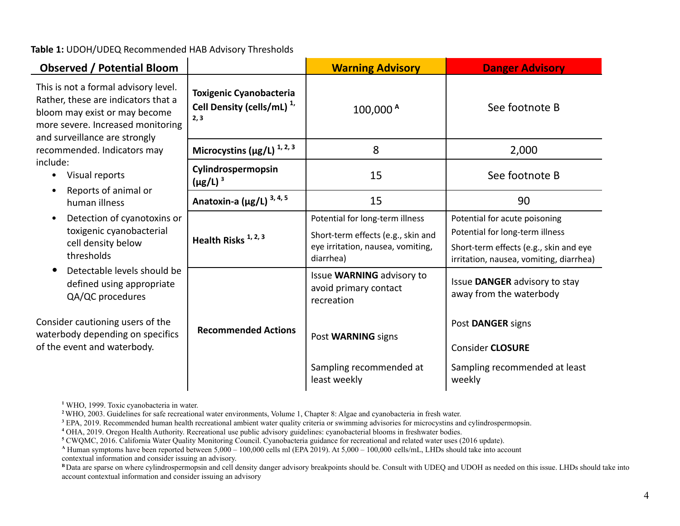**Table 1:** UDOH/UDEQ Recommended HAB Advisory Thresholds

| <b>Observed / Potential Bloom</b>                                                                                                                                                  |                                                                                 | <b>Warning Advisory</b>                                                                                                 | <b>Danger Advisory</b>                                                                                                                                |
|------------------------------------------------------------------------------------------------------------------------------------------------------------------------------------|---------------------------------------------------------------------------------|-------------------------------------------------------------------------------------------------------------------------|-------------------------------------------------------------------------------------------------------------------------------------------------------|
| This is not a formal advisory level.<br>Rather, these are indicators that a<br>bloom may exist or may become<br>more severe. Increased monitoring<br>and surveillance are strongly | <b>Toxigenic Cyanobacteria</b><br>Cell Density (cells/mL) <sup>1,</sup><br>2, 3 | 100,000 <sup>A</sup>                                                                                                    | See footnote B                                                                                                                                        |
| recommended. Indicators may                                                                                                                                                        | Microcystins ( $\mu$ g/L) <sup>1,2,3</sup>                                      | 8                                                                                                                       | 2,000                                                                                                                                                 |
| include:<br>Visual reports<br>٠<br>Reports of animal or<br>٠                                                                                                                       | Cylindrospermopsin<br>$(\mu$ g/L) <sup>3</sup>                                  | 15                                                                                                                      | See footnote B                                                                                                                                        |
| human illness                                                                                                                                                                      | Anatoxin-a ( $\mu$ g/L) <sup>3, 4, 5</sup>                                      | 15                                                                                                                      | 90                                                                                                                                                    |
| Detection of cyanotoxins or<br>٠<br>toxigenic cyanobacterial<br>cell density below<br>thresholds                                                                                   | Health Risks <sup>1, 2, 3</sup>                                                 | Potential for long-term illness<br>Short-term effects (e.g., skin and<br>eye irritation, nausea, vomiting,<br>diarrhea) | Potential for acute poisoning<br>Potential for long-term illness<br>Short-term effects (e.g., skin and eye<br>irritation, nausea, vomiting, diarrhea) |
| Detectable levels should be<br>$\bullet$<br>defined using appropriate<br>QA/QC procedures                                                                                          |                                                                                 | Issue WARNING advisory to<br>avoid primary contact<br>recreation                                                        | Issue DANGER advisory to stay<br>away from the waterbody                                                                                              |
| Consider cautioning users of the<br>waterbody depending on specifics<br>of the event and waterbody.                                                                                | <b>Recommended Actions</b>                                                      | Post WARNING signs                                                                                                      | Post DANGER signs<br><b>Consider CLOSURE</b>                                                                                                          |
|                                                                                                                                                                                    |                                                                                 | Sampling recommended at<br>least weekly                                                                                 | Sampling recommended at least<br>weekly                                                                                                               |

**<sup>1</sup>** WHO, 1999. Toxic cyanobacteria in water.

- **<sup>2</sup>**WHO, 2003. Guidelines for safe recreational water environments, Volume 1, Chapter 8: Algae and cyanobacteria in fresh water.
- **<sup>3</sup>** EPA, 2019. Recommended human health recreational ambient water quality criteria or swimming advisories for microcystins and cylindrospermopsin.
- **<sup>4</sup>** OHA, 2019. Oregon Health Authority. Recreational use public advisory guidelines: cyanobacterial blooms in freshwater bodies.
- **<sup>5</sup>** CWQMC, 2016. California Water Quality Monitoring Council. Cyanobacteria guidance for recreational and related water uses (2016 update).
- **<sup>A</sup>** Human symptoms have been reported between 5,000 100,000 cells ml (EPA 2019). At 5,000 100,000 cells/mL, LHDs should take into account contextual information and consider issuing an advisory.
- **B** Data are sparse on where cylindrospermopsin and cell density danger advisory breakpoints should be. Consult with UDEQ and UDOH as needed on this issue. LHDs should take into account contextual information and consider issuing an advisory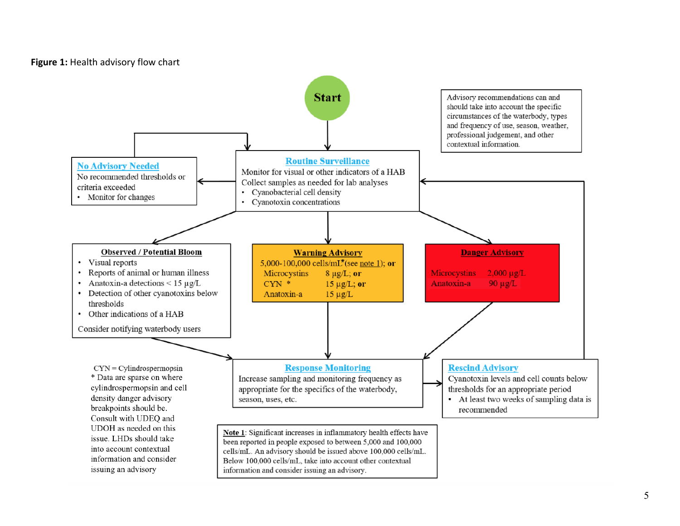### **Figure 1:** Health advisory flow chart